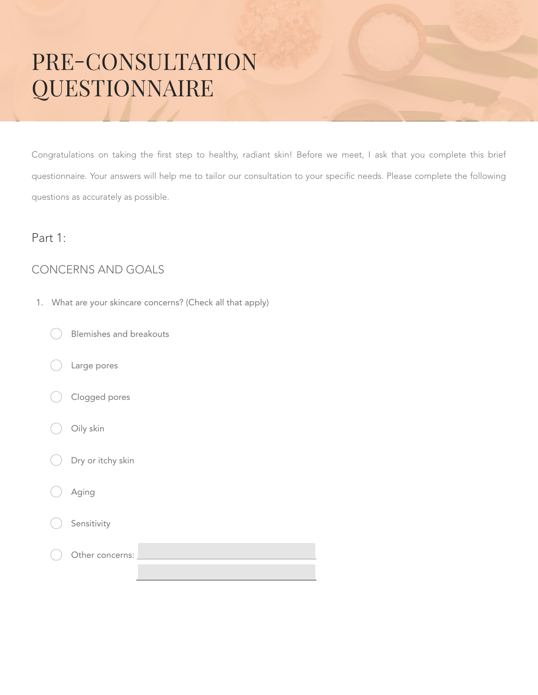# PRE-CONSULTATION **QUESTIONNAIRE**

Congratulations on taking the first step to healthy, radiant skin! Before we meet, I ask that you complete this brief questionnaire. Your answers will help me to tailor our consultation to your specific needs. Please complete the following questions as accurately as possible.

### Part 1:

#### CONCERNS AND GOALS

- 1. What are your skincare concerns? (Check all that apply)
	- Blemishes and breakouts
	- Large pores
	- Clogged pores
	- Oily skin
	- Dry or itchy skin
	- Aging
	- Sensitivity

Other concerns: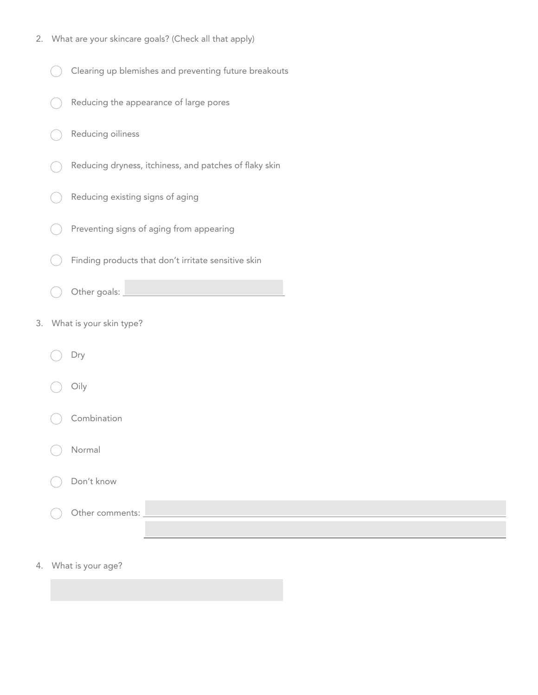- 2. What are your skincare goals? (Check all that apply)
	- Clearing up blemishes and preventing future breakouts
	- Reducing the appearance of large pores
	- Reducing oiliness
	- Reducing dryness, itchiness, and patches of flaky skin
	- Reducing existing signs of aging
	- Preventing signs of aging from appearing
	- Finding products that don't irritate sensitive skin
	- Other goals:
- 3. What is your skin type?
	- Dry
	- Oily
	- Combination
	- Normal
	- Don't know
	- Other comments:
- 4. What is your age?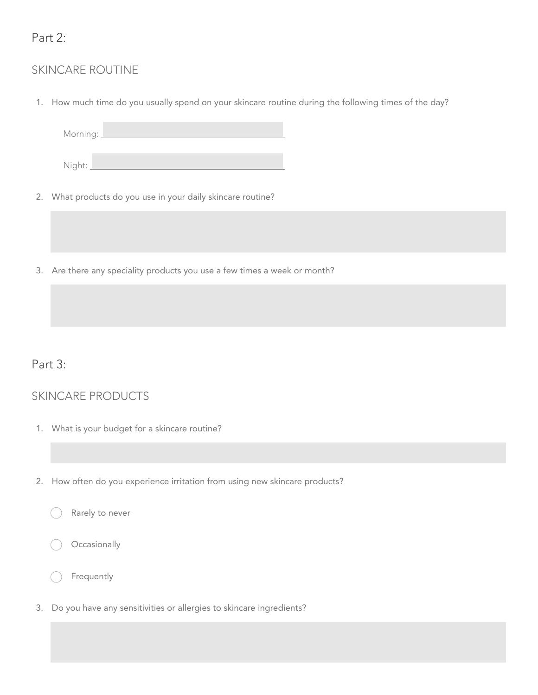#### Part 2:

#### SKINCARE ROUTINE

1. How much time do you usually spend on your skincare routine during the following times of the day?

Morning: Night:

- 2. What products do you use in your daily skincare routine?
- 3. Are there any speciality products you use a few times a week or month?

## Part 3:

#### SKINCARE PRODUCTS

- 1. What is your budget for a skincare routine?
- 2. How often do you experience irritation from using new skincare products?

| Rarely to never |  |
|-----------------|--|
|                 |  |

| Occasionally |  |
|--------------|--|
|              |  |

| Frequently |  |
|------------|--|
|            |  |

3. Do you have any sensitivities or allergies to skincare ingredients?